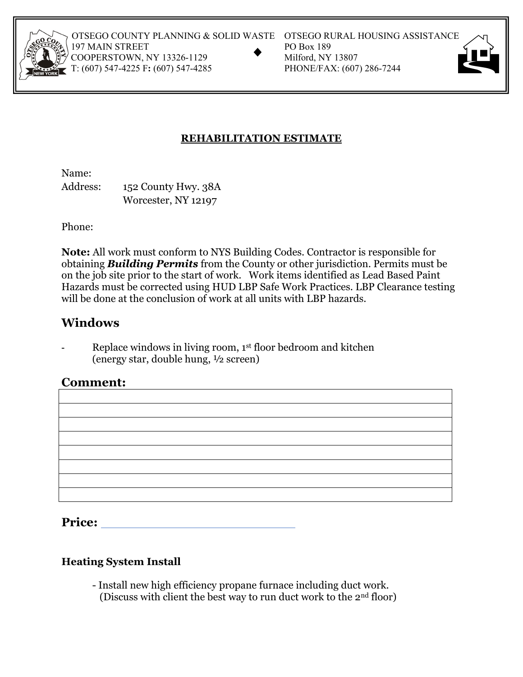

OTSEGO COUNTY PLANNING & SOLID WASTE OTSEGO RURAL HOUSING ASSISTANCE<br>
197 MAIN STREET PO Box 189<br>
COOPERSTOWN, NY 13326-1129 Milford, NY 13807<br>
T: (607) 547-4225 F: (607) 547-4285 PHONE/FAX: (607) 286-7244 197 MAIN STREET COOPERSTOWN, NY 13326-1129 T: (607) 547-4225 F: (607) 547-4285

- 
- 



## **REHABILITATION ESTIMATE**

Name:

Address: 152 County Hwy. 38A Worcester, NY 12197

Phone:

**Note:** All work must conform to NYS Building Codes. Contractor is responsible for obtaining *Building Permits* from the County or other jurisdiction. Permits must be on the job site prior to the start of work. Work items identified as Lead Based Paint Hazards must be corrected using HUD LBP Safe Work Practices. LBP Clearance testing will be done at the conclusion of work at all units with LBP hazards.

# **Windows**

Replace windows in living room, 1<sup>st</sup> floor bedroom and kitchen (energy star, double hung, ½ screen)

# **Comment:**

**Price:** 

#### **Heating System Install**

 - Install new high efficiency propane furnace including duct work. (Discuss with client the best way to run duct work to the 2nd floor)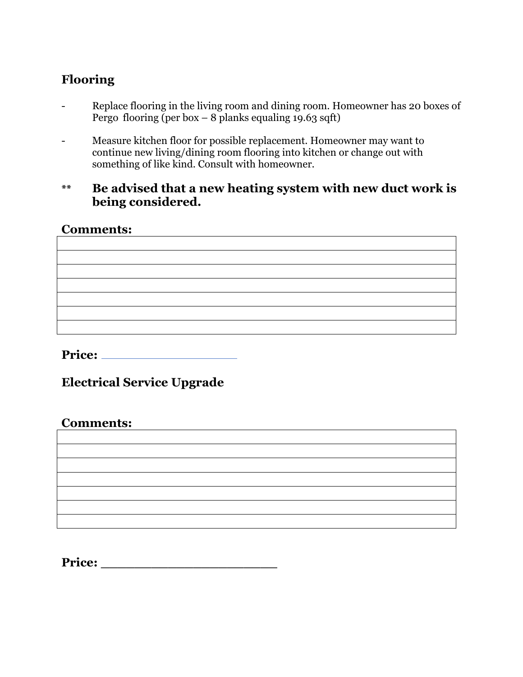# **Flooring**

- Replace flooring in the living room and dining room. Homeowner has 20 boxes of Pergo flooring (per box – 8 planks equaling 19.63 sqft)
- Measure kitchen floor for possible replacement. Homeowner may want to continue new living/dining room flooring into kitchen or change out with something of like kind. Consult with homeowner.
- **\*\* Be advised that a new heating system with new duct work is being considered.**

## **Comments:**

**Price:** 

**Electrical Service Upgrade** 

## **Comments:**

**Price: \_\_\_\_\_\_\_\_\_\_\_\_\_\_\_\_\_\_\_\_\_**